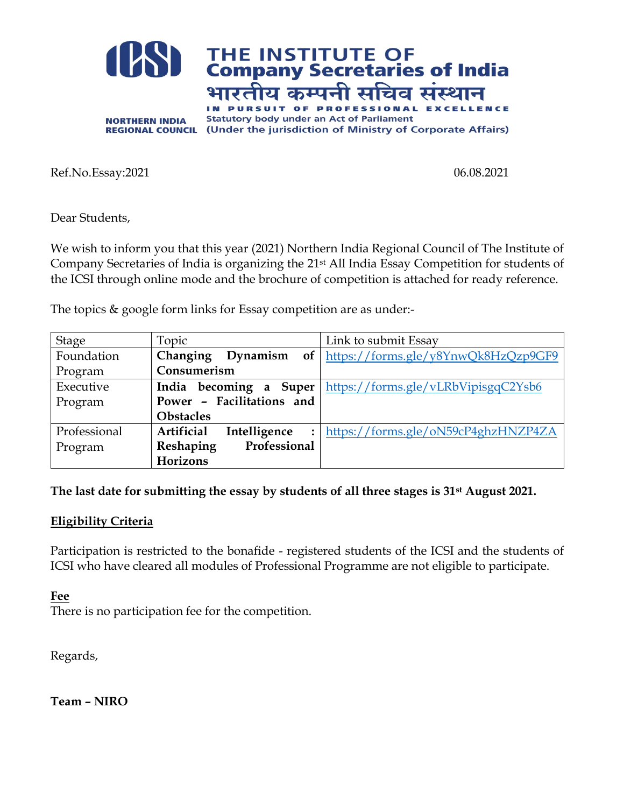

Ref.No.Essay:2021 06.08.2021

Dear Students,

We wish to inform you that this year (2021) Northern India Regional Council of The Institute of Company Secretaries of India is organizing the 21st All India Essay Competition for students of the ICSI through online mode and the brochure of competition is attached for ready reference.

The topics & google form links for Essay competition are as under:-

| <b>Stage</b> | Topic                                        | Link to submit Essay                |  |
|--------------|----------------------------------------------|-------------------------------------|--|
| Foundation   | Changing<br>of <sub>1</sub><br>Dynamism      | https://forms.gle/y8YnwQk8HzQzp9GF9 |  |
| Program      | Consumerism                                  |                                     |  |
| Executive    | becoming<br>Super<br>India<br>a              | https://forms.gle/vLRbVipisgqC2Ysb6 |  |
| Program      | Power - Facilitations and                    |                                     |  |
|              | <b>Obstacles</b>                             |                                     |  |
| Professional | Artificial<br>Intelligence<br>$\ddot{\cdot}$ | https://forms.gle/oN59cP4ghzHNZP4ZA |  |
| Program      | Professional<br>Reshaping                    |                                     |  |
|              | Horizons                                     |                                     |  |

**The last date for submitting the essay by students of all three stages is 31st August 2021.** 

### **Eligibility Criteria**

Participation is restricted to the bonafide - registered students of the ICSI and the students of ICSI who have cleared all modules of Professional Programme are not eligible to participate.

**Fee** 

There is no participation fee for the competition.

Regards,

**Team – NIRO**